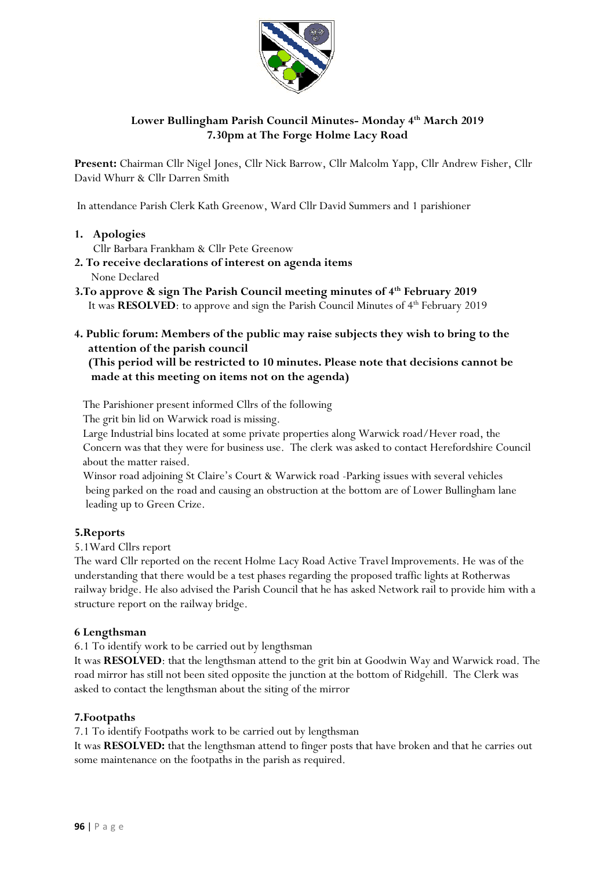

# **Lower Bullingham Parish Council Minutes- Monday 4 th March 2019 7.30pm at The Forge Holme Lacy Road**

**Present:** Chairman Cllr Nigel Jones, Cllr Nick Barrow, Cllr Malcolm Yapp, Cllr Andrew Fisher, Cllr David Whurr & Cllr Darren Smith

In attendance Parish Clerk Kath Greenow, Ward Cllr David Summers and 1 parishioner

- **1. Apologies** 
	- Cllr Barbara Frankham & Cllr Pete Greenow
- **2. To receive declarations of interest on agenda items** None Declared
- **3.To approve & sign The Parish Council meeting minutes of 4 th February 2019**  It was **RESOLVED**: to approve and sign the Parish Council Minutes of 4<sup>th</sup> February 2019
- **4. Public forum: Members of the public may raise subjects they wish to bring to the attention of the parish council**

### **(This period will be restricted to 10 minutes. Please note that decisions cannot be made at this meeting on items not on the agenda)**

The Parishioner present informed Cllrs of the following

The grit bin lid on Warwick road is missing.

 Large Industrial bins located at some private properties along Warwick road/Hever road, the Concern was that they were for business use. The clerk was asked to contact Herefordshire Council about the matter raised.

 Winsor road adjoining St Claire's Court & Warwick road -Parking issues with several vehicles being parked on the road and causing an obstruction at the bottom are of Lower Bullingham lane leading up to Green Crize.

## **5.Reports**

5.1Ward Cllrs report

The ward Cllr reported on the recent Holme Lacy Road Active Travel Improvements. He was of the understanding that there would be a test phases regarding the proposed traffic lights at Rotherwas railway bridge. He also advised the Parish Council that he has asked Network rail to provide him with a structure report on the railway bridge.

#### **6 Lengthsman**

6.1 To identify work to be carried out by lengthsman

It was **RESOLVED**: that the lengthsman attend to the grit bin at Goodwin Way and Warwick road. The road mirror has still not been sited opposite the junction at the bottom of Ridgehill. The Clerk was asked to contact the lengthsman about the siting of the mirror

## **7.Footpaths**

7.1 To identify Footpaths work to be carried out by lengthsman

It was **RESOLVED:** that the lengthsman attend to finger posts that have broken and that he carries out some maintenance on the footpaths in the parish as required.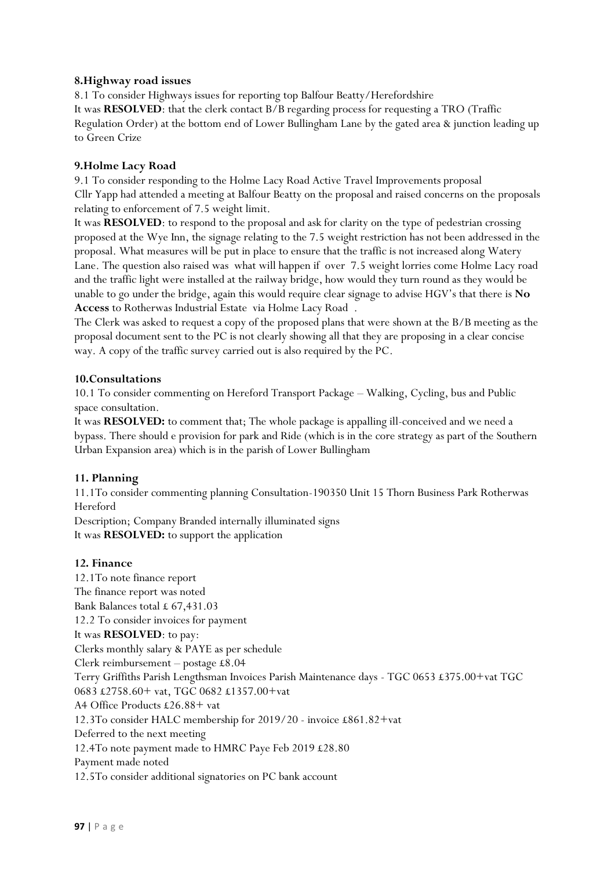### **8.Highway road issues**

8.1 To consider Highways issues for reporting top Balfour Beatty/Herefordshire It was **RESOLVED**: that the clerk contact B/B regarding process for requesting a TRO (Traffic Regulation Order) at the bottom end of Lower Bullingham Lane by the gated area & junction leading up to Green Crize

### **9.Holme Lacy Road**

9.1 To consider responding to the Holme Lacy Road Active Travel Improvements proposal Cllr Yapp had attended a meeting at Balfour Beatty on the proposal and raised concerns on the proposals relating to enforcement of 7.5 weight limit.

It was **RESOLVED**: to respond to the proposal and ask for clarity on the type of pedestrian crossing proposed at the Wye Inn, the signage relating to the 7.5 weight restriction has not been addressed in the proposal. What measures will be put in place to ensure that the traffic is not increased along Watery Lane. The question also raised was what will happen if over 7.5 weight lorries come Holme Lacy road and the traffic light were installed at the railway bridge, how would they turn round as they would be unable to go under the bridge, again this would require clear signage to advise HGV's that there is **No Access** to Rotherwas Industrial Estate via Holme Lacy Road .

The Clerk was asked to request a copy of the proposed plans that were shown at the B/B meeting as the proposal document sent to the PC is not clearly showing all that they are proposing in a clear concise way. A copy of the traffic survey carried out is also required by the PC.

## **10.Consultations**

10.1 To consider commenting on Hereford Transport Package – Walking, Cycling, bus and Public space consultation.

It was **RESOLVED:** to comment that; The whole package is appalling ill-conceived and we need a bypass. There should e provision for park and Ride (which is in the core strategy as part of the Southern Urban Expansion area) which is in the parish of Lower Bullingham

## **11. Planning**

11.1To consider commenting planning Consultation-190350 Unit 15 Thorn Business Park Rotherwas Hereford

Description; Company Branded internally illuminated signs It was **RESOLVED:** to support the application

#### **12. Finance**

12.1To note finance report The finance report was noted Bank Balances total £ 67,431.03 12.2 To consider invoices for payment It was **RESOLVED**: to pay: Clerks monthly salary & PAYE as per schedule Clerk reimbursement – postage £8.04 Terry Griffiths Parish Lengthsman Invoices Parish Maintenance days - TGC 0653 £375.00+vat TGC 0683 £2758.60+ vat, TGC 0682 £1357.00+vat A4 Office Products £26.88+ vat 12.3To consider HALC membership for 2019/20 - invoice £861.82+vat Deferred to the next meeting 12.4To note payment made to HMRC Paye Feb 2019 £28.80 Payment made noted 12.5To consider additional signatories on PC bank account